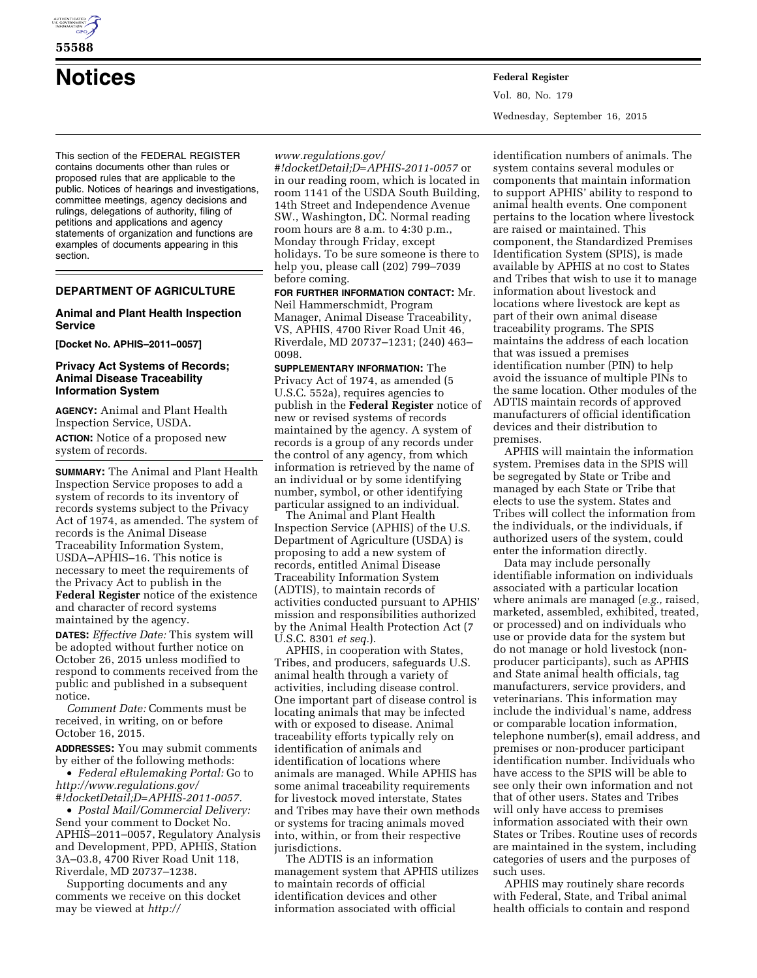

# **55588**

# **Notices Federal Register**

This section of the FEDERAL REGISTER contains documents other than rules or proposed rules that are applicable to the public. Notices of hearings and investigations, committee meetings, agency decisions and rulings, delegations of authority, filing of petitions and applications and agency statements of organization and functions are examples of documents appearing in this section.

# **DEPARTMENT OF AGRICULTURE**

# **Animal and Plant Health Inspection Service**

**[Docket No. APHIS–2011–0057]** 

## **Privacy Act Systems of Records; Animal Disease Traceability Information System**

**AGENCY:** Animal and Plant Health Inspection Service, USDA. **ACTION:** Notice of a proposed new system of records.

**SUMMARY:** The Animal and Plant Health Inspection Service proposes to add a system of records to its inventory of records systems subject to the Privacy Act of 1974, as amended. The system of records is the Animal Disease Traceability Information System, USDA–APHIS–16. This notice is necessary to meet the requirements of the Privacy Act to publish in the **Federal Register** notice of the existence and character of record systems maintained by the agency.

**DATES:** *Effective Date:* This system will be adopted without further notice on October 26, 2015 unless modified to respond to comments received from the public and published in a subsequent notice.

*Comment Date:* Comments must be received, in writing, on or before October 16, 2015.

**ADDRESSES:** You may submit comments by either of the following methods:

• *Federal eRulemaking Portal:* Go to *[http://www.regulations.gov/](http://www.regulations.gov/#!docketDetail;D=APHIS-2011-0057) [#!docketDetail;D=APHIS-2011-0057.](http://www.regulations.gov/#!docketDetail;D=APHIS-2011-0057)* 

• *Postal Mail/Commercial Delivery:*  Send your comment to Docket No. APHIS–2011–0057, Regulatory Analysis and Development, PPD, APHIS, Station 3A–03.8, 4700 River Road Unit 118, Riverdale, MD 20737–1238.

Supporting documents and any comments we receive on this docket may be viewed at *[http://](http://www.regulations.gov/#!docketDetail;D=APHIS-2011-0057)*

# *[www.regulations.gov/](http://www.regulations.gov/#!docketDetail;D=APHIS-2011-0057)*

*[#!docketDetail;D=APHIS-2011-0057](http://www.regulations.gov/#!docketDetail;D=APHIS-2011-0057)* or in our reading room, which is located in room 1141 of the USDA South Building, 14th Street and Independence Avenue SW., Washington, DC. Normal reading room hours are 8 a.m. to 4:30 p.m., Monday through Friday, except holidays. To be sure someone is there to help you, please call (202) 799–7039 before coming.

**FOR FURTHER INFORMATION CONTACT:** Mr. Neil Hammerschmidt, Program Manager, Animal Disease Traceability, VS, APHIS, 4700 River Road Unit 46, Riverdale, MD 20737–1231; (240) 463– 0098.

**SUPPLEMENTARY INFORMATION:** The Privacy Act of 1974, as amended (5 U.S.C. 552a), requires agencies to publish in the **Federal Register** notice of new or revised systems of records maintained by the agency. A system of records is a group of any records under the control of any agency, from which information is retrieved by the name of an individual or by some identifying number, symbol, or other identifying particular assigned to an individual.

The Animal and Plant Health Inspection Service (APHIS) of the U.S. Department of Agriculture (USDA) is proposing to add a new system of records, entitled Animal Disease Traceability Information System (ADTIS), to maintain records of activities conducted pursuant to APHIS' mission and responsibilities authorized by the Animal Health Protection Act (7 U.S.C. 8301 *et seq.*).

APHIS, in cooperation with States, Tribes, and producers, safeguards U.S. animal health through a variety of activities, including disease control. One important part of disease control is locating animals that may be infected with or exposed to disease. Animal traceability efforts typically rely on identification of animals and identification of locations where animals are managed. While APHIS has some animal traceability requirements for livestock moved interstate, States and Tribes may have their own methods or systems for tracing animals moved into, within, or from their respective jurisdictions.

The ADTIS is an information management system that APHIS utilizes to maintain records of official identification devices and other information associated with official

Vol. 80, No. 179 Wednesday, September 16, 2015

identification numbers of animals. The system contains several modules or components that maintain information to support APHIS' ability to respond to animal health events. One component pertains to the location where livestock are raised or maintained. This component, the Standardized Premises Identification System (SPIS), is made available by APHIS at no cost to States and Tribes that wish to use it to manage information about livestock and locations where livestock are kept as part of their own animal disease traceability programs. The SPIS maintains the address of each location that was issued a premises identification number (PIN) to help avoid the issuance of multiple PINs to the same location. Other modules of the ADTIS maintain records of approved manufacturers of official identification devices and their distribution to premises.

APHIS will maintain the information system. Premises data in the SPIS will be segregated by State or Tribe and managed by each State or Tribe that elects to use the system. States and Tribes will collect the information from the individuals, or the individuals, if authorized users of the system, could enter the information directly.

Data may include personally identifiable information on individuals associated with a particular location where animals are managed (*e.g.,* raised, marketed, assembled, exhibited, treated, or processed) and on individuals who use or provide data for the system but do not manage or hold livestock (nonproducer participants), such as APHIS and State animal health officials, tag manufacturers, service providers, and veterinarians. This information may include the individual's name, address or comparable location information, telephone number(s), email address, and premises or non-producer participant identification number. Individuals who have access to the SPIS will be able to see only their own information and not that of other users. States and Tribes will only have access to premises information associated with their own States or Tribes. Routine uses of records are maintained in the system, including categories of users and the purposes of such uses.

APHIS may routinely share records with Federal, State, and Tribal animal health officials to contain and respond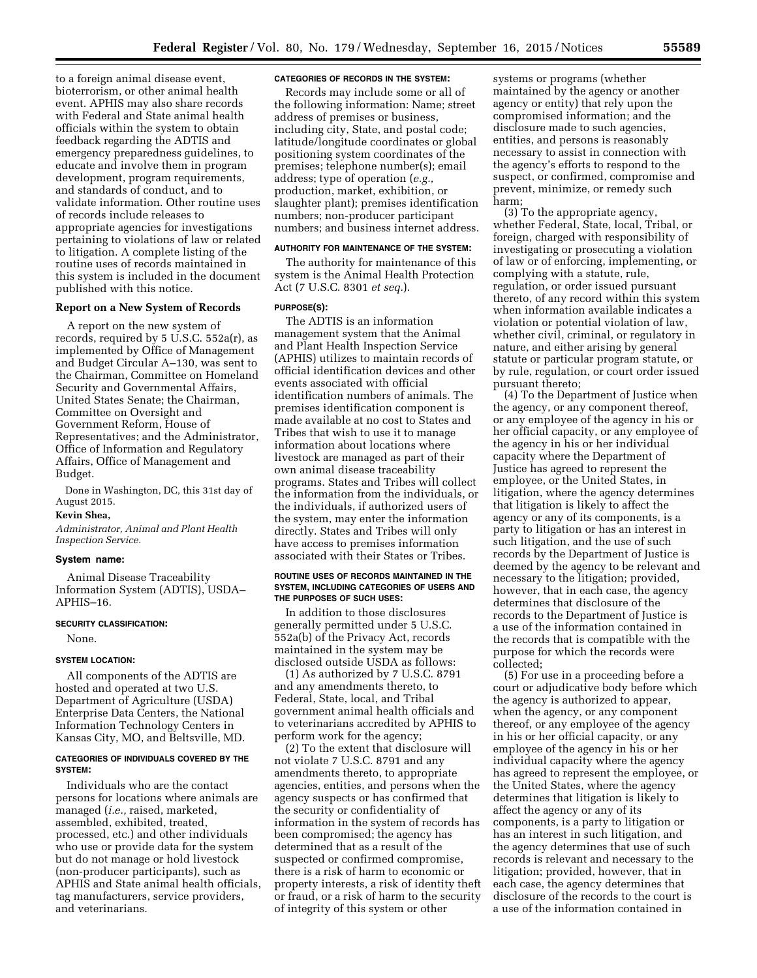to a foreign animal disease event, bioterrorism, or other animal health event. APHIS may also share records with Federal and State animal health officials within the system to obtain feedback regarding the ADTIS and emergency preparedness guidelines, to educate and involve them in program development, program requirements, and standards of conduct, and to validate information. Other routine uses of records include releases to appropriate agencies for investigations pertaining to violations of law or related to litigation. A complete listing of the routine uses of records maintained in this system is included in the document published with this notice.

#### **Report on a New System of Records**

A report on the new system of records, required by 5 U.S.C. 552a(r), as implemented by Office of Management and Budget Circular A–130, was sent to the Chairman, Committee on Homeland Security and Governmental Affairs, United States Senate; the Chairman, Committee on Oversight and Government Reform, House of Representatives; and the Administrator, Office of Information and Regulatory Affairs, Office of Management and Budget.

Done in Washington, DC, this 31st day of August 2015.

## **Kevin Shea,**

*Administrator, Animal and Plant Health Inspection Service.* 

#### **System name:**

Animal Disease Traceability Information System (ADTIS), USDA– APHIS–16.

## **SECURITY CLASSIFICATION:**

None.

#### **SYSTEM LOCATION:**

All components of the ADTIS are hosted and operated at two U.S. Department of Agriculture (USDA) Enterprise Data Centers, the National Information Technology Centers in Kansas City, MO, and Beltsville, MD.

#### **CATEGORIES OF INDIVIDUALS COVERED BY THE SYSTEM:**

Individuals who are the contact persons for locations where animals are managed (*i.e.,* raised, marketed, assembled, exhibited, treated, processed, etc.) and other individuals who use or provide data for the system but do not manage or hold livestock (non-producer participants), such as APHIS and State animal health officials, tag manufacturers, service providers, and veterinarians.

#### **CATEGORIES OF RECORDS IN THE SYSTEM:**

Records may include some or all of the following information: Name; street address of premises or business, including city, State, and postal code; latitude/longitude coordinates or global positioning system coordinates of the premises; telephone number(s); email address; type of operation (*e.g.,*  production, market, exhibition, or slaughter plant); premises identification numbers; non-producer participant numbers; and business internet address.

#### **AUTHORITY FOR MAINTENANCE OF THE SYSTEM:**

The authority for maintenance of this system is the Animal Health Protection Act (7 U.S.C. 8301 *et seq.*).

# **PURPOSE(S):**

The ADTIS is an information management system that the Animal and Plant Health Inspection Service (APHIS) utilizes to maintain records of official identification devices and other events associated with official identification numbers of animals. The premises identification component is made available at no cost to States and Tribes that wish to use it to manage information about locations where livestock are managed as part of their own animal disease traceability programs. States and Tribes will collect the information from the individuals, or the individuals, if authorized users of the system, may enter the information directly. States and Tribes will only have access to premises information associated with their States or Tribes.

#### **ROUTINE USES OF RECORDS MAINTAINED IN THE SYSTEM, INCLUDING CATEGORIES OF USERS AND THE PURPOSES OF SUCH USES:**

In addition to those disclosures generally permitted under 5 U.S.C. 552a(b) of the Privacy Act, records maintained in the system may be disclosed outside USDA as follows:

(1) As authorized by 7 U.S.C. 8791 and any amendments thereto, to Federal, State, local, and Tribal government animal health officials and to veterinarians accredited by APHIS to perform work for the agency;

(2) To the extent that disclosure will not violate 7 U.S.C. 8791 and any amendments thereto, to appropriate agencies, entities, and persons when the agency suspects or has confirmed that the security or confidentiality of information in the system of records has been compromised; the agency has determined that as a result of the suspected or confirmed compromise, there is a risk of harm to economic or property interests, a risk of identity theft or fraud, or a risk of harm to the security of integrity of this system or other

systems or programs (whether maintained by the agency or another agency or entity) that rely upon the compromised information; and the disclosure made to such agencies, entities, and persons is reasonably necessary to assist in connection with the agency's efforts to respond to the suspect, or confirmed, compromise and prevent, minimize, or remedy such harm;

(3) To the appropriate agency, whether Federal, State, local, Tribal, or foreign, charged with responsibility of investigating or prosecuting a violation of law or of enforcing, implementing, or complying with a statute, rule, regulation, or order issued pursuant thereto, of any record within this system when information available indicates a violation or potential violation of law, whether civil, criminal, or regulatory in nature, and either arising by general statute or particular program statute, or by rule, regulation, or court order issued pursuant thereto;

(4) To the Department of Justice when the agency, or any component thereof, or any employee of the agency in his or her official capacity, or any employee of the agency in his or her individual capacity where the Department of Justice has agreed to represent the employee, or the United States, in litigation, where the agency determines that litigation is likely to affect the agency or any of its components, is a party to litigation or has an interest in such litigation, and the use of such records by the Department of Justice is deemed by the agency to be relevant and necessary to the litigation; provided, however, that in each case, the agency determines that disclosure of the records to the Department of Justice is a use of the information contained in the records that is compatible with the purpose for which the records were collected;

(5) For use in a proceeding before a court or adjudicative body before which the agency is authorized to appear, when the agency, or any component thereof, or any employee of the agency in his or her official capacity, or any employee of the agency in his or her individual capacity where the agency has agreed to represent the employee, or the United States, where the agency determines that litigation is likely to affect the agency or any of its components, is a party to litigation or has an interest in such litigation, and the agency determines that use of such records is relevant and necessary to the litigation; provided, however, that in each case, the agency determines that disclosure of the records to the court is a use of the information contained in